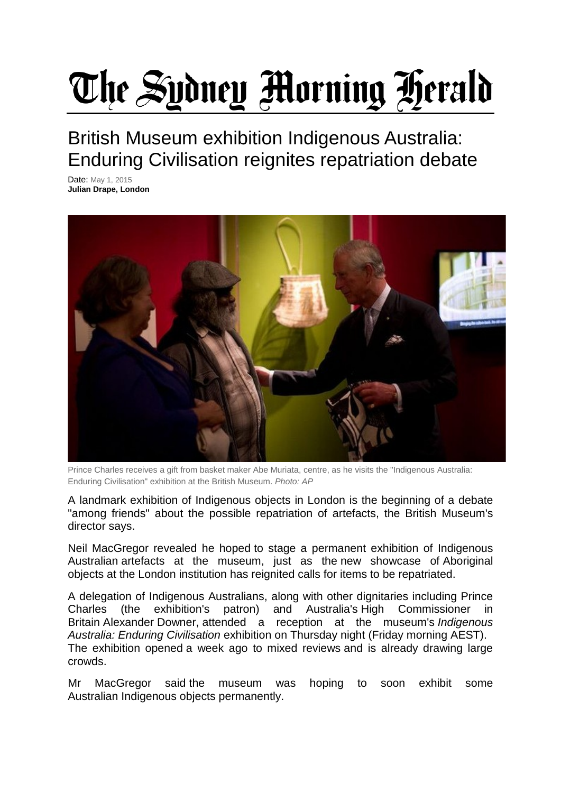## The Sydney Morning Herald

British Museum exhibition Indigenous Australia: Enduring Civilisation reignites repatriation debate

Date: May 1, 2015 **Julian Drape, London**



Prince Charles receives a gift from basket maker Abe Muriata, centre, as he visits the "Indigenous Australia: Enduring Civilisation" exhibition at the British Museum. *Photo: AP*

A landmark exhibition of Indigenous objects in London is the beginning of a debate "among friends" about the possible repatriation of artefacts, the British Museum's director says.

Neil MacGregor revealed he hoped to stage a permanent exhibition of Indigenous Australian artefacts at the museum, just as the new showcase of Aboriginal objects at the London institution has reignited calls for items to be repatriated.

A delegation of Indigenous Australians, along with other dignitaries including Prince Charles (the exhibition's patron) and Australia's High Commissioner in Britain Alexander Downer, attended a reception at the museum's *Indigenous Australia: Enduring Civilisation* exhibition on Thursday night (Friday morning AEST). The exhibition opened a week ago to mixed reviews and is already drawing large crowds.

Mr MacGregor said the museum was hoping to soon exhibit some Australian Indigenous objects permanently.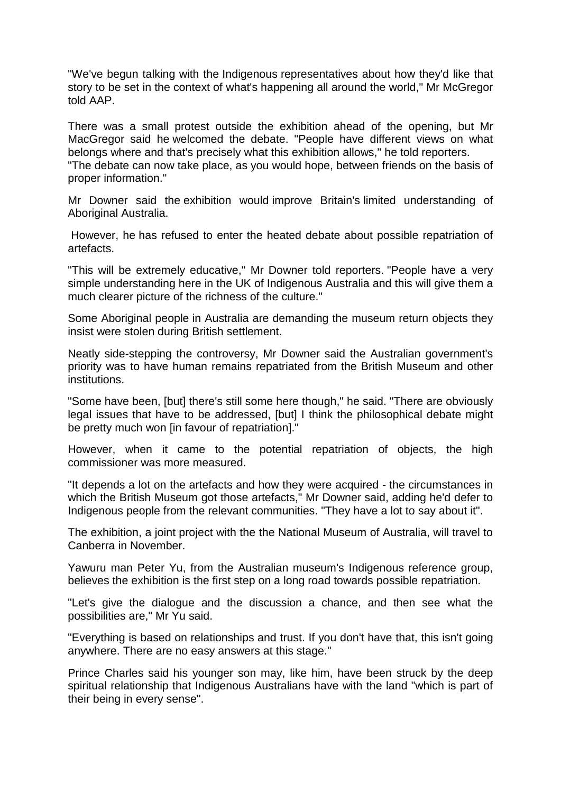"We've begun talking with the Indigenous representatives about how they'd like that story to be set in the context of what's happening all around the world," Mr McGregor told AAP.

There was a small protest outside the exhibition ahead of the opening, but Mr MacGregor said he welcomed the debate. "People have different views on what belongs where and that's precisely what this exhibition allows," he told reporters. "The debate can now take place, as you would hope, between friends on the basis of proper information."

Mr Downer said the exhibition would improve Britain's limited understanding of Aboriginal Australia.

However, he has refused to enter the heated debate about possible repatriation of artefacts.

"This will be extremely educative," Mr Downer told reporters. "People have a very simple understanding here in the UK of Indigenous Australia and this will give them a much clearer picture of the richness of the culture."

Some Aboriginal people in Australia are demanding the museum return objects they insist were stolen during British settlement.

Neatly side-stepping the controversy, Mr Downer said the Australian government's priority was to have human remains repatriated from the British Museum and other institutions.

"Some have been, [but] there's still some here though," he said. "There are obviously legal issues that have to be addressed, [but] I think the philosophical debate might be pretty much won [in favour of repatriation]."

However, when it came to the potential repatriation of objects, the high commissioner was more measured.

"It depends a lot on the artefacts and how they were acquired - the circumstances in which the British Museum got those artefacts," Mr Downer said, adding he'd defer to Indigenous people from the relevant communities. "They have a lot to say about it".

The exhibition, a joint project with the the National Museum of Australia, will travel to Canberra in November.

Yawuru man Peter Yu, from the Australian museum's Indigenous reference group, believes the exhibition is the first step on a long road towards possible repatriation.

"Let's give the dialogue and the discussion a chance, and then see what the possibilities are," Mr Yu said.

"Everything is based on relationships and trust. If you don't have that, this isn't going anywhere. There are no easy answers at this stage."

Prince Charles said his younger son may, like him, have been struck by the deep spiritual relationship that Indigenous Australians have with the land "which is part of their being in every sense".